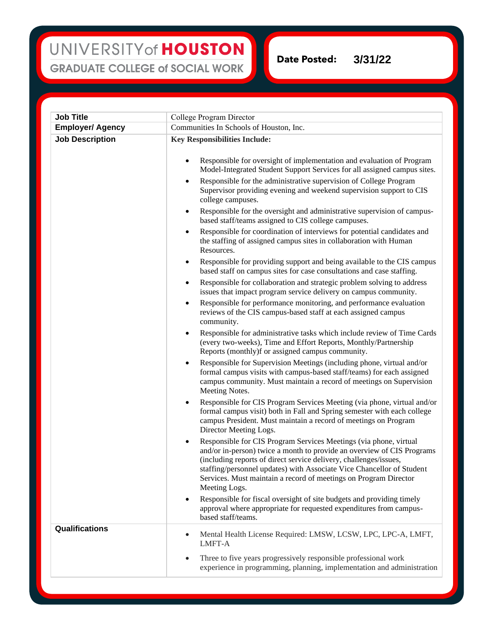**Date Posted: 3/31/22**

| <b>Job Title</b>        | College Program Director                                                                                                                                                                                                                                                                                                                                                                    |
|-------------------------|---------------------------------------------------------------------------------------------------------------------------------------------------------------------------------------------------------------------------------------------------------------------------------------------------------------------------------------------------------------------------------------------|
| <b>Employer/ Agency</b> | Communities In Schools of Houston, Inc.                                                                                                                                                                                                                                                                                                                                                     |
| <b>Job Description</b>  | <b>Key Responsibilities Include:</b>                                                                                                                                                                                                                                                                                                                                                        |
|                         | Responsible for oversight of implementation and evaluation of Program<br>$\bullet$<br>Model-Integrated Student Support Services for all assigned campus sites.                                                                                                                                                                                                                              |
|                         | Responsible for the administrative supervision of College Program<br>٠<br>Supervisor providing evening and weekend supervision support to CIS<br>college campuses.                                                                                                                                                                                                                          |
|                         | Responsible for the oversight and administrative supervision of campus-<br>$\bullet$<br>based staff/teams assigned to CIS college campuses.                                                                                                                                                                                                                                                 |
|                         | Responsible for coordination of interviews for potential candidates and<br>$\bullet$<br>the staffing of assigned campus sites in collaboration with Human<br>Resources.                                                                                                                                                                                                                     |
|                         | Responsible for providing support and being available to the CIS campus<br>$\bullet$<br>based staff on campus sites for case consultations and case staffing.                                                                                                                                                                                                                               |
|                         | Responsible for collaboration and strategic problem solving to address<br>$\bullet$<br>issues that impact program service delivery on campus community.                                                                                                                                                                                                                                     |
|                         | Responsible for performance monitoring, and performance evaluation<br>$\bullet$<br>reviews of the CIS campus-based staff at each assigned campus<br>community.                                                                                                                                                                                                                              |
|                         | Responsible for administrative tasks which include review of Time Cards<br>$\bullet$<br>(every two-weeks), Time and Effort Reports, Monthly/Partnership<br>Reports (monthly)f or assigned campus community.                                                                                                                                                                                 |
|                         | Responsible for Supervision Meetings (including phone, virtual and/or<br>$\bullet$<br>formal campus visits with campus-based staff/teams) for each assigned<br>campus community. Must maintain a record of meetings on Supervision<br>Meeting Notes.                                                                                                                                        |
|                         | Responsible for CIS Program Services Meeting (via phone, virtual and/or<br>$\bullet$<br>formal campus visit) both in Fall and Spring semester with each college<br>campus President. Must maintain a record of meetings on Program<br>Director Meeting Logs.                                                                                                                                |
|                         | Responsible for CIS Program Services Meetings (via phone, virtual<br>$\bullet$<br>and/or in-person) twice a month to provide an overview of CIS Programs<br>(including reports of direct service delivery, challenges/issues,<br>staffing/personnel updates) with Associate Vice Chancellor of Student<br>Services. Must maintain a record of meetings on Program Director<br>Meeting Logs. |
|                         | Responsible for fiscal oversight of site budgets and providing timely<br>$\bullet$<br>approval where appropriate for requested expenditures from campus-<br>based staff/teams.                                                                                                                                                                                                              |
| <b>Qualifications</b>   | Mental Health License Required: LMSW, LCSW, LPC, LPC-A, LMFT,<br>$\bullet$<br>LMFT-A                                                                                                                                                                                                                                                                                                        |
|                         | Three to five years progressively responsible professional work<br>$\bullet$<br>experience in programming, planning, implementation and administration                                                                                                                                                                                                                                      |